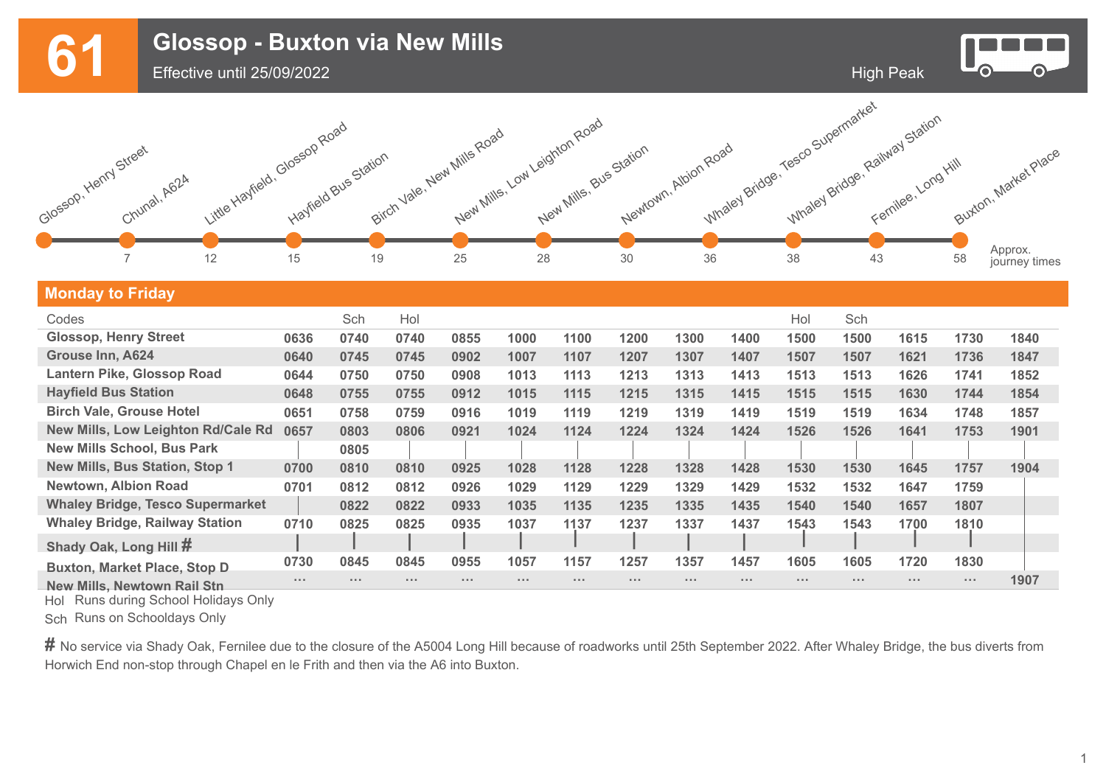**61 Glossop - Buxton via New Mills**<br>
Effective until 25/09/2022



Effective until 25/09/2022



## **Monday to Friday**

| Codes                                   |          | Sch        | Hol             |            |                      |                             |                      |                             |      | Hol      | Sch          |                      |            |      |
|-----------------------------------------|----------|------------|-----------------|------------|----------------------|-----------------------------|----------------------|-----------------------------|------|----------|--------------|----------------------|------------|------|
| <b>Glossop, Henry Street</b>            | 0636     | 0740       | 0740            | 0855       | 1000                 | 1100                        | 1200                 | 1300                        | 1400 | 1500     | 1500         | 1615                 | 1730       | 1840 |
| Grouse Inn, A624                        | 0640     | 0745       | 0745            | 0902       | 1007                 | 1107                        | 1207                 | 1307                        | 1407 | 1507     | 1507         | 1621                 | 1736       | 1847 |
| Lantern Pike, Glossop Road              | 0644     | 0750       | 0750            | 0908       | 1013                 | 1113                        | 1213                 | 1313                        | 1413 | 1513     | 1513         | 1626                 | 1741       | 1852 |
| <b>Hayfield Bus Station</b>             | 0648     | 0755       | 0755            | 0912       | 1015                 | 1115                        | 1215                 | 1315                        | 1415 | 1515     | 1515         | 1630                 | 1744       | 1854 |
| <b>Birch Vale, Grouse Hotel</b>         | 0651     | 0758       | 0759            | 0916       | 1019                 | 1119                        | 1219                 | 1319                        | 1419 | 1519     | 1519         | 1634                 | 1748       | 1857 |
| New Mills, Low Leighton Rd/Cale Rd      | 0657     | 0803       | 0806            | 0921       | 1024                 | 1124                        | 1224                 | 1324                        | 1424 | 1526     | 1526         | 1641                 | 1753       | 1901 |
| <b>New Mills School, Bus Park</b>       |          | 0805       |                 |            |                      |                             |                      |                             |      |          |              |                      |            |      |
| <b>New Mills, Bus Station, Stop 1</b>   | 0700     | 0810       | 0810            | 0925       | 1028                 | 1128                        | 1228                 | 1328                        | 1428 | 1530     | 1530         | 1645                 | 1757       | 1904 |
| <b>Newtown, Albion Road</b>             | 0701     | 0812       | 0812            | 0926       | 1029                 | 1129                        | 1229                 | 1329                        | 1429 | 1532     | 1532         | 1647                 | 1759       |      |
| <b>Whaley Bridge, Tesco Supermarket</b> |          | 0822       | 0822            | 0933       | 1035                 | 1135                        | 1235                 | 1335                        | 1435 | 1540     | 1540         | 1657                 | 1807       |      |
| <b>Whaley Bridge, Railway Station</b>   | 0710     | 0825       | 0825            | 0935       | 1037                 | 1137                        | 1237                 | 1337                        | 1437 | 1543     | 1543         | 1700                 | 1810       |      |
| Shady Oak, Long Hill #                  |          |            |                 |            |                      |                             |                      |                             |      |          |              |                      |            |      |
| <b>Buxton, Market Place, Stop D</b>     | 0730     | 0845       | 0845            | 0955       | 1057                 | 1157                        | 1257                 | 1357                        | 1457 | 1605     | 1605         | 1720                 | 1830       |      |
| <b>New Mills, Newtown Rail Stn</b>      | $\cdots$ | $\sim 100$ | $\sim$ 10 $\pm$ | $\sim 100$ | $\sim$ $\sim$ $\sim$ | $\alpha \rightarrow \infty$ | $\sim$ $\sim$ $\sim$ | $\alpha \rightarrow \infty$ |      | $\cdots$ | <b>ALC A</b> | $\sim$ $\sim$ $\sim$ | $\sim 100$ | 1907 |

Hol Runs during School Holidays Only

Sch Runs on Schooldays Only

# No service via Shady Oak, Fernilee due to the closure of the A5004 Long Hill because of roadworks until 25th September 2022. After Whaley Bridge, the bus diverts from Horwich End non-stop through Chapel en le Frith and then via the A6 into Buxton.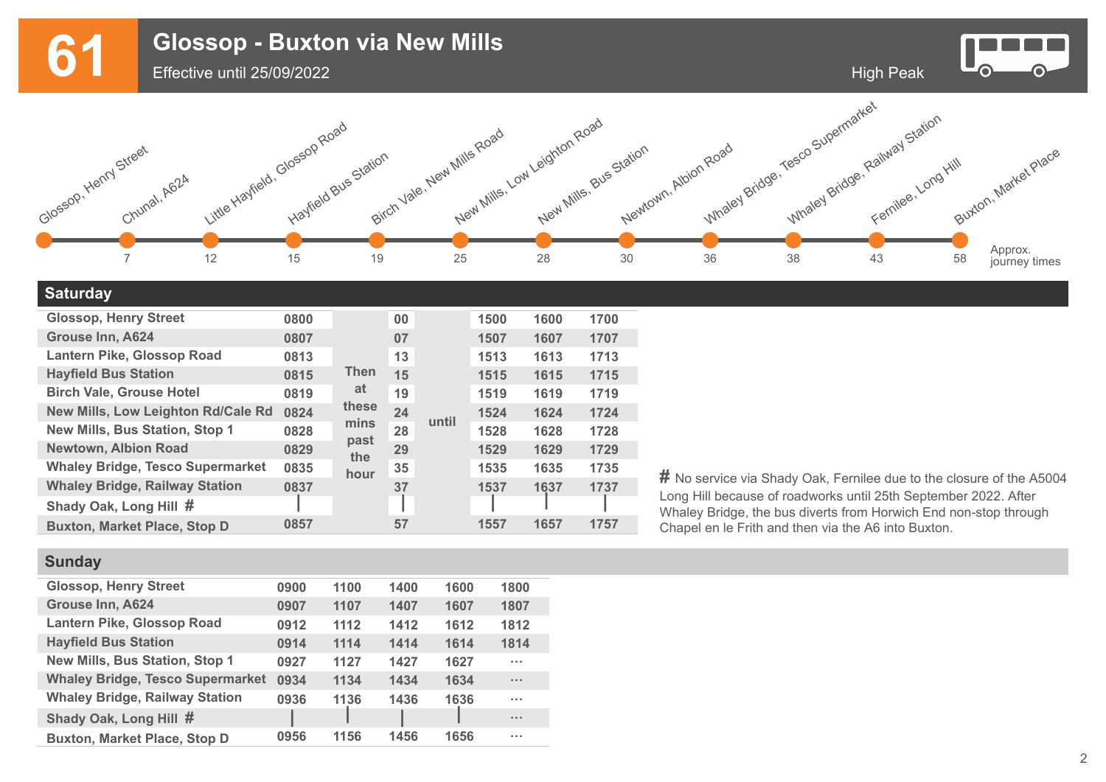**61 Glossop - Buxton via New Mills**<br>
Effective until 25/09/2022



Effective until 25/09/2022



### **Saturday**

| <b>Glossop, Henry Street</b>            | 0800          |                     | 00 |       | 1500 | 1600 | 1700 |
|-----------------------------------------|---------------|---------------------|----|-------|------|------|------|
| <b>Grouse Inn, A624</b>                 | 0807          |                     | 07 |       | 1507 | 1607 | 1707 |
| <b>Lantern Pike, Glossop Road</b>       | 0813          |                     | 13 |       | 1513 | 1613 | 1713 |
| <b>Hayfield Bus Station</b>             | 0815          | <b>Then</b>         | 15 |       | 1515 | 1615 | 1715 |
| <b>Birch Vale, Grouse Hotel</b>         | 0819          | at                  | 19 |       | 1519 | 1619 | 1719 |
| New Mills, Low Leighton Rd/Cale Rd      | these<br>0824 |                     | 24 |       | 1524 | 1624 | 1724 |
| New Mills, Bus Station, Stop 1          | 0828          | mins<br>past<br>the | 28 | until | 1528 | 1628 | 1728 |
| <b>Newtown, Albion Road</b>             | 0829          |                     | 29 |       | 1529 | 1629 | 1729 |
| <b>Whaley Bridge, Tesco Supermarket</b> | 0835          | hour                | 35 |       | 1535 | 1635 | 1735 |
| <b>Whaley Bridge, Railway Station</b>   | 0837          |                     | 37 |       | 1537 | 1637 | 1737 |
| Shady Oak, Long Hill #                  |               |                     |    |       |      |      |      |
| <b>Buxton, Market Place, Stop D</b>     | 0857          |                     | 57 |       | 1557 | 1657 | 1757 |

**#** No service via Shady Oak, Fernilee due to the closure of the A5004 Long Hill because of roadworks until 25th September 2022. After Whaley Bridge, the bus diverts from Horwich End non-stop through Chapel en le Frith and then via the A6 into Buxton.

# **Sunday**

| <b>Glossop, Henry Street</b>            | 0900 | 1100 | 1400 | 1600 | 1800                 |
|-----------------------------------------|------|------|------|------|----------------------|
| Grouse Inn, A624                        | 0907 | 1107 | 1407 | 1607 | 1807                 |
| Lantern Pike, Glossop Road              | 0912 | 1112 | 1412 | 1612 | 1812                 |
| <b>Hayfield Bus Station</b>             | 0914 | 1114 | 1414 | 1614 | 1814                 |
| New Mills, Bus Station, Stop 1          | 0927 | 1127 | 1427 | 1627 | $\sim 100$           |
| <b>Whaley Bridge, Tesco Supermarket</b> | 0934 | 1134 | 1434 | 1634 | $\sim$ $\sim$ $\sim$ |
| <b>Whaley Bridge, Railway Station</b>   | 0936 | 1136 | 1436 | 1636 | $\sim$ $\sim$ $\sim$ |
| Shady Oak, Long Hill #                  |      |      |      |      | $\sim$ $\sim$ $\sim$ |
| <b>Buxton, Market Place, Stop D</b>     | 0956 | 1156 | 1456 | 1656 | $\sim$ $\sim$ $\sim$ |

2